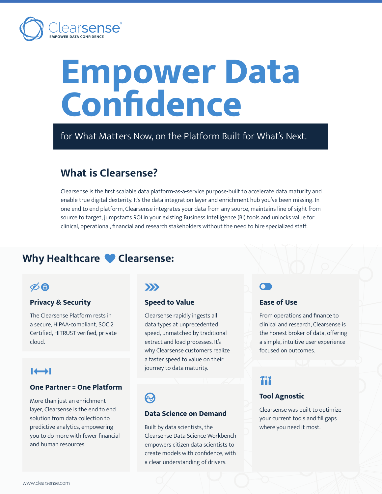

# **Empower Data Confidence**

for What Matters Now, on the Platform Built for What's Next.

## **What is Clearsense?**

Clearsense is the first scalable data platform-as-a-service purpose-built to accelerate data maturity and enable true digital dexterity. It's the data integration layer and enrichment hub you've been missing. In one end to end platform, Clearsense integrates your data from any source, maintains line of sight from source to target, jumpstarts ROI in your existing Business Intelligence (BI) tools and unlocks value for clinical, operational, financial and research stakeholders without the need to hire specialized staff.

## Why Healthcare Clearsense:

## $\phi$ 8

## **Privacy & Security**

The Clearsense Platform rests in a secure, HIPAA-compliant, SOC 2 Certified, HITRUST verified, private cloud.

## $\rightarrow$

### **One Partner = One Platform**

More than just an enrichment layer, Clearsense is the end to end solution from data collection to predictive analytics, empowering you to do more with fewer financial and human resources.

## $\sum$

### **Speed to Value**

Clearsense rapidly ingests all data types at unprecedented speed, unmatched by traditional extract and load processes. It's why Clearsense customers realize a faster speed to value on their journey to data maturity.

## **AZ**

### **Data Science on Demand**

Built by data scientists, the Clearsense Data Science Workbench empowers citizen data scientists to create models with confidence, with a clear understanding of drivers.

## **Ease of Use**

From operations and finance to clinical and research, Clearsense is the honest broker of data, offering a simple, intuitive user experience focused on outcomes.

## TIX

### **Tool Agnostic**

Clearsense was built to optimize your current tools and fill gaps where you need it most.